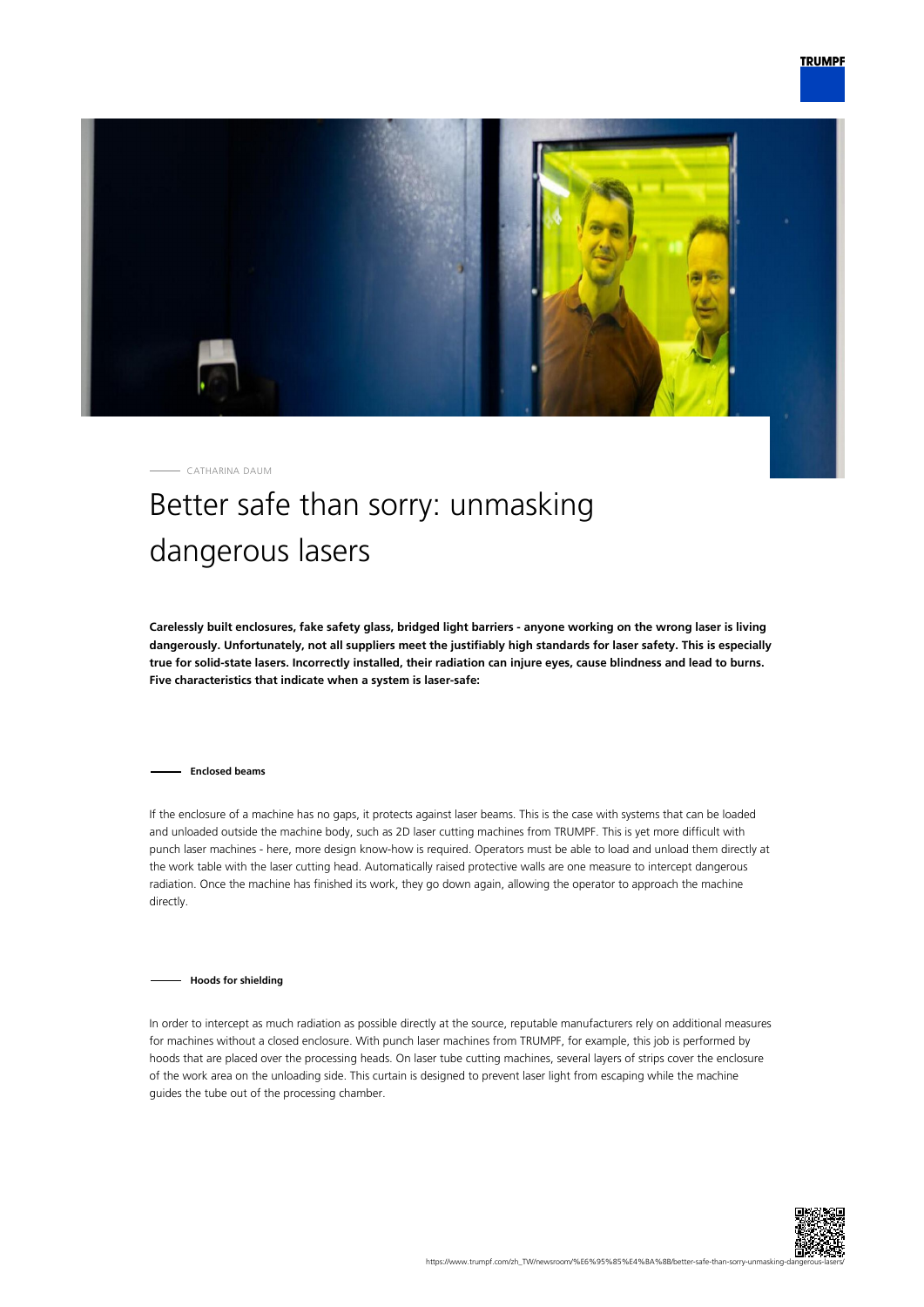

CATHARINA DAUM

## Better safe than sorry: unmasking dangerous lasers

**Carelessly built enclosures, fake safety glass, bridged light barriers - anyone working on the wrong laser is living dangerously. Unfortunately, not all suppliers meet the justifiably high standards for laser safety. This is especially true for solid-state lasers. Incorrectly installed, their radiation can injure eyes, cause blindness and lead to burns. Five characteristics that indicate when a system is laser-safe:**

**Enclosed beams**

If the enclosure of a machine has no gaps, it protects against laser beams. This is the case with systems that can be loaded and unloaded outside the machine body, such as 2D laser cutting machines from TRUMPF. This is yet more difficult with punch laser machines - here, more design know-how is required. Operators must be able to load and unload them directly at the work table with the laser cutting head. Automatically raised protective walls are one measure to intercept dangerous radiation. Once the machine has finished its work, they go down again, allowing the operator to approach the machine directly.

**Hoods for shielding**

In order to intercept as much radiation as possible directly at the source, reputable manufacturers rely on additional measures for machines without a closed enclosure. With punch laser machines from TRUMPF, for example, this job is performed by hoods that are placed over the processing heads. On laser tube cutting machines, several layers of strips cover the enclosure of the work area on the unloading side. This curtain is designed to prevent laser light from escaping while the machine guides the tube out of the processing chamber.

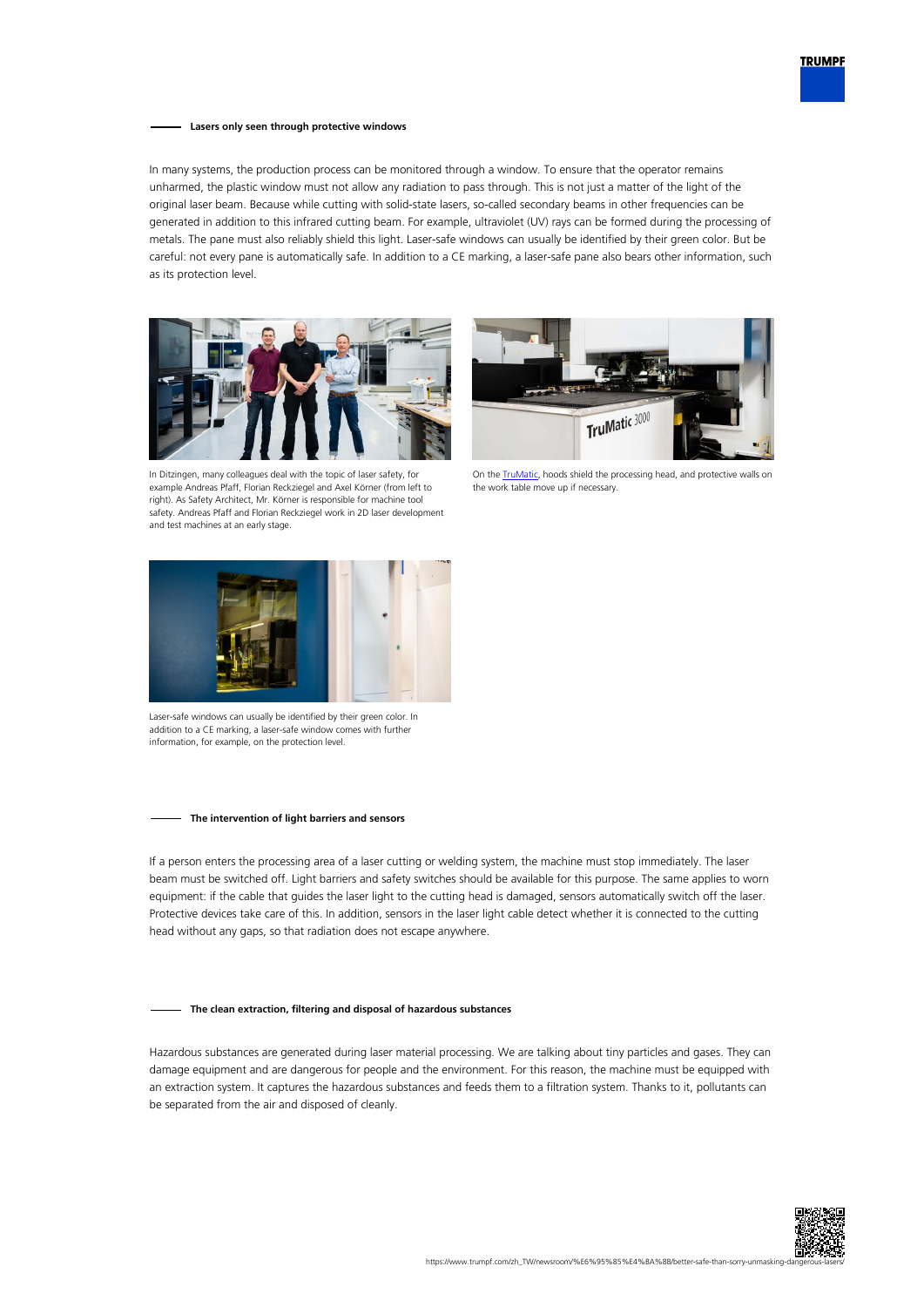

## **Lasers only seen through protective windows**

In many systems, the production process can be monitored through a window. To ensure that the operator remains unharmed, the plastic window must not allow any radiation to pass through. This is not just a matter of the light of the original laser beam. Because while cutting with solid-state lasers, so-called secondary beams in other frequencies can be generated in addition to this infrared cutting beam. For example, ultraviolet (UV) rays can be formed during the processing of metals. The pane must also reliably shield this light. Laser-safe windows can usually be identified by their green color. But be careful: not every pane is automatically safe. In addition to a CE marking, a laser-safe pane also bears other information, such as its protection level.





In Ditzingen, many colleagues deal with the topic of laser safety, for example Andreas Pfaff, Florian Reckziegel and Axel Körner (from left to right). As Safety Architect, Mr. Körner is responsible for machine tool safety. Andreas Pfaff and Florian Reckziegel work in 2D laser development and test machines at an early stage.

On the **TruMatic**, hoods shield the processing head, and protective walls on the work table move up if necessary.



Laser-safe windows can usually be identified by their green color. In addition to a CE marking, a laser-safe window comes with further information, for example, on the protection level.

## **The intervention of light barriers and sensors**

If a person enters the processing area of a laser cutting or welding system, the machine must stop immediately. The laser beam must be switched off. Light barriers and safety switches should be available for this purpose. The same applies to worn equipment: if the cable that guides the laser light to the cutting head is damaged, sensors automatically switch off the laser. Protective devices take care of this. In addition, sensors in the laser light cable detect whether it is connected to the cutting head without any gaps, so that radiation does not escape anywhere.

## **The clean extraction, filtering and disposal of hazardous substances**

Hazardous substances are generated during laser material processing. We are talking about tiny particles and gases. They can damage equipment and are dangerous for people and the environment. For this reason, the machine must be equipped with an extraction system. It captures the hazardous substances and feeds them to a filtration system. Thanks to it, pollutants can be separated from the air and disposed of cleanly.